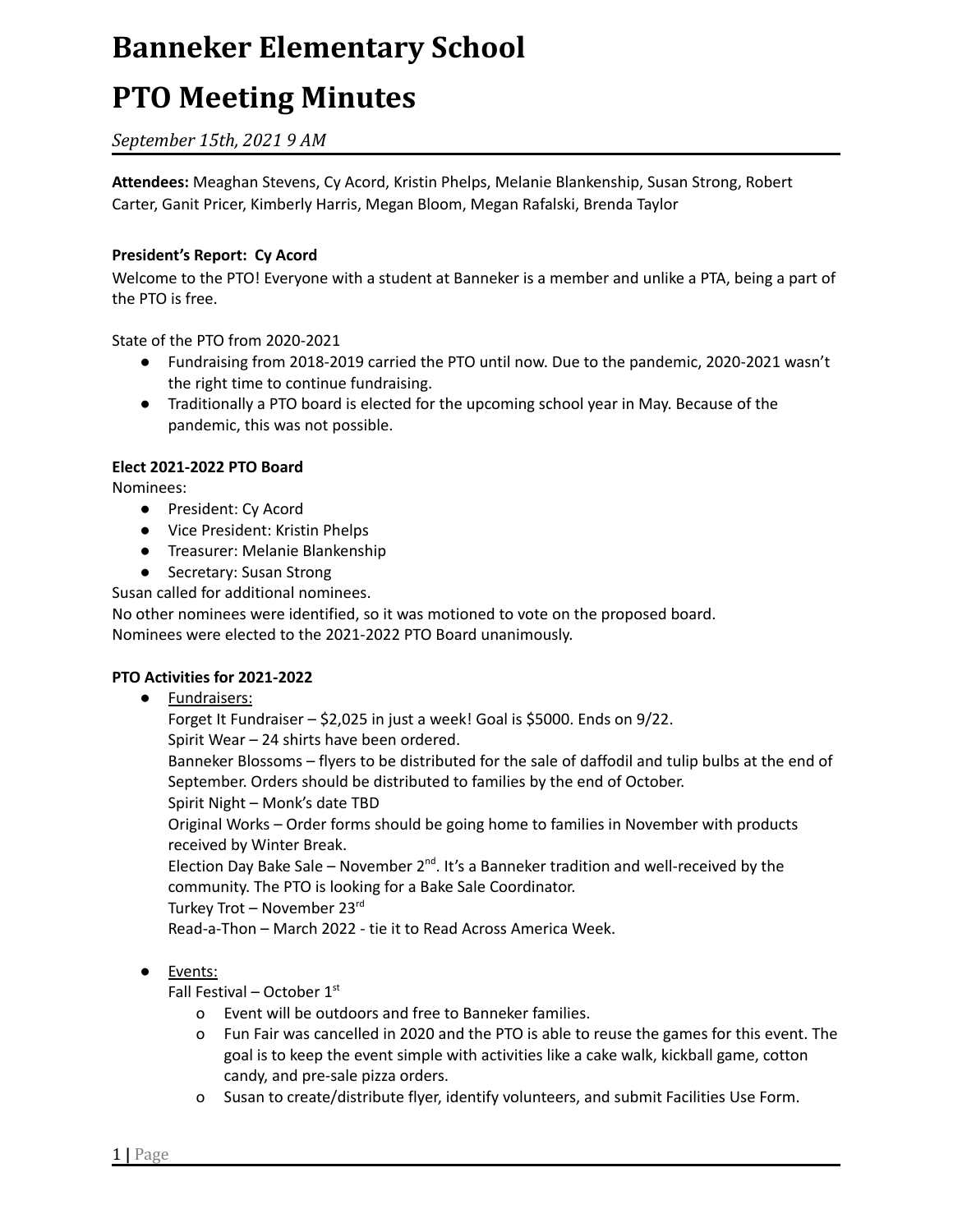# **PTO Meeting Minutes**

# *September 15th, 2021 9 AM*

**Attendees:** Meaghan Stevens, Cy Acord, Kristin Phelps, Melanie Blankenship, Susan Strong, Robert Carter, Ganit Pricer, Kimberly Harris, Megan Bloom, Megan Rafalski, Brenda Taylor

### **President's Report: Cy Acord**

Welcome to the PTO! Everyone with a student at Banneker is a member and unlike a PTA, being a part of the PTO is free.

State of the PTO from 2020-2021

- Fundraising from 2018-2019 carried the PTO until now. Due to the pandemic, 2020-2021 wasn't the right time to continue fundraising.
- Traditionally a PTO board is elected for the upcoming school year in May. Because of the pandemic, this was not possible.

### **Elect 2021-2022 PTO Board**

Nominees:

- President: Cy Acord
- Vice President: Kristin Phelps
- Treasurer: Melanie Blankenship
- Secretary: Susan Strong

Susan called for additional nominees.

No other nominees were identified, so it was motioned to vote on the proposed board. Nominees were elected to the 2021-2022 PTO Board unanimously.

### **PTO Activities for 2021-2022**

### ● Fundraisers:

Forget It Fundraiser – \$2,025 in just a week! Goal is \$5000. Ends on 9/22. Spirit Wear – 24 shirts have been ordered. Banneker Blossoms – flyers to be distributed for the sale of daffodil and tulip bulbs at the end of September. Orders should be distributed to families by the end of October. Spirit Night – Monk's date TBD Original Works – Order forms should be going home to families in November with products received by Winter Break. Election Day Bake Sale – November  $2^{nd}$ . It's a Banneker tradition and well-received by the community. The PTO is looking for a Bake Sale Coordinator. Turkey Trot – November 23 rd Read-a-Thon – March 2022 - tie it to Read Across America Week.

### ● Events:

Fall Festival – October 1st

- o Event will be outdoors and free to Banneker families.
- o Fun Fair was cancelled in 2020 and the PTO is able to reuse the games for this event. The goal is to keep the event simple with activities like a cake walk, kickball game, cotton candy, and pre-sale pizza orders.
- o Susan to create/distribute flyer, identify volunteers, and submit Facilities Use Form.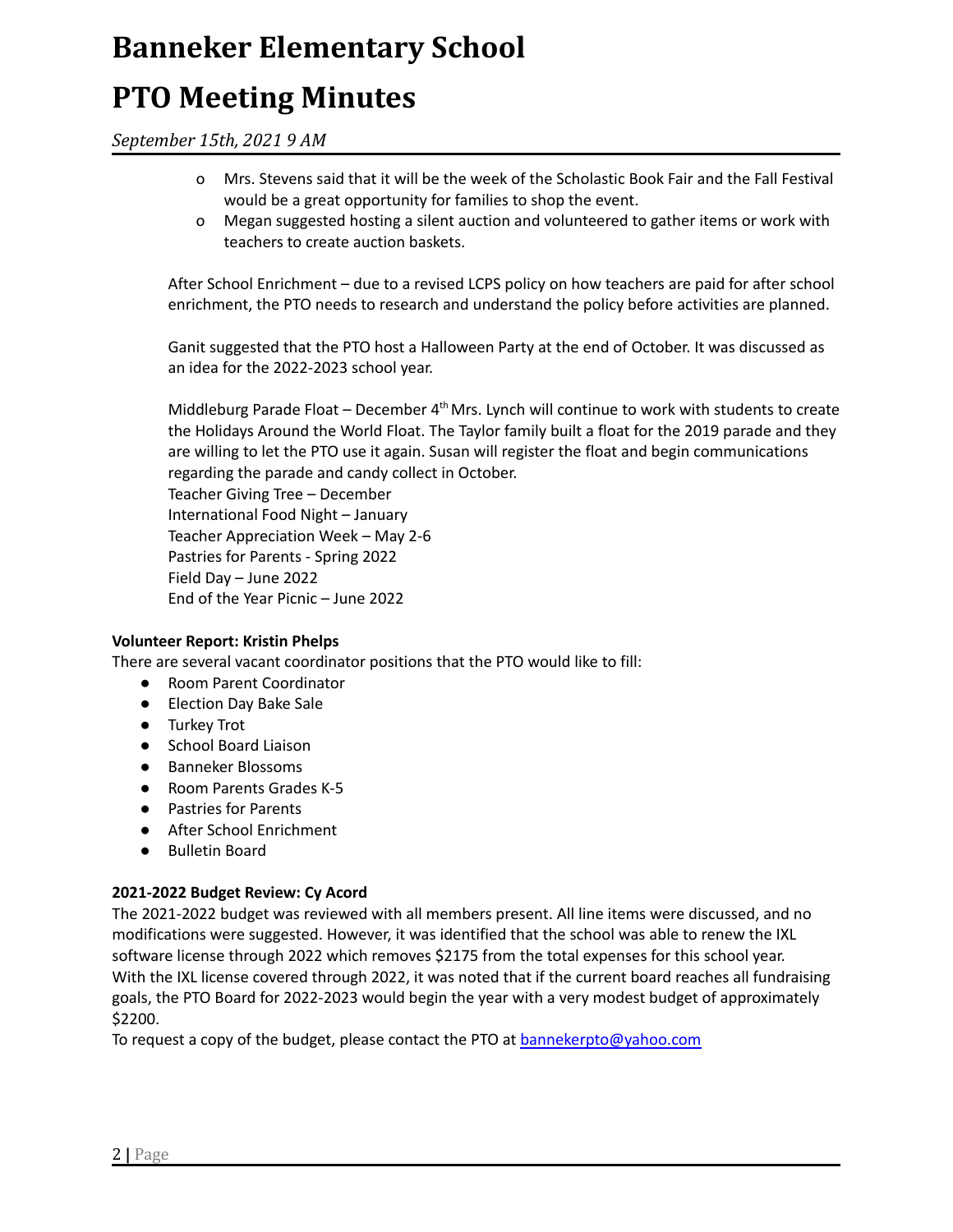# **PTO Meeting Minutes**

*September 15th, 2021 9 AM*

- o Mrs. Stevens said that it will be the week of the Scholastic Book Fair and the Fall Festival would be a great opportunity for families to shop the event.
- o Megan suggested hosting a silent auction and volunteered to gather items or work with teachers to create auction baskets.

After School Enrichment – due to a revised LCPS policy on how teachers are paid for after school enrichment, the PTO needs to research and understand the policy before activities are planned.

Ganit suggested that the PTO host a Halloween Party at the end of October. It was discussed as an idea for the 2022-2023 school year.

Middleburg Parade Float - December 4<sup>th</sup> Mrs. Lynch will continue to work with students to create the Holidays Around the World Float. The Taylor family built a float for the 2019 parade and they are willing to let the PTO use it again. Susan will register the float and begin communications regarding the parade and candy collect in October. Teacher Giving Tree – December International Food Night – January Teacher Appreciation Week – May 2-6 Pastries for Parents - Spring 2022 Field Day – June 2022 End of the Year Picnic – June 2022

### **Volunteer Report: Kristin Phelps**

There are several vacant coordinator positions that the PTO would like to fill:

- Room Parent Coordinator
- Election Day Bake Sale
- Turkey Trot
- School Board Liaison
- Banneker Blossoms
- Room Parents Grades K-5
- Pastries for Parents
- After School Enrichment
- Bulletin Board

#### **2021-2022 Budget Review: Cy Acord**

The 2021-2022 budget was reviewed with all members present. All line items were discussed, and no modifications were suggested. However, it was identified that the school was able to renew the IXL software license through 2022 which removes \$2175 from the total expenses for this school year. With the IXL license covered through 2022, it was noted that if the current board reaches all fundraising goals, the PTO Board for 2022-2023 would begin the year with a very modest budget of approximately \$2200.

To request a copy of the budget, please contact the PTO at **[bannekerpto@yahoo.com](mailto:bannekerpto@yahoo.com)**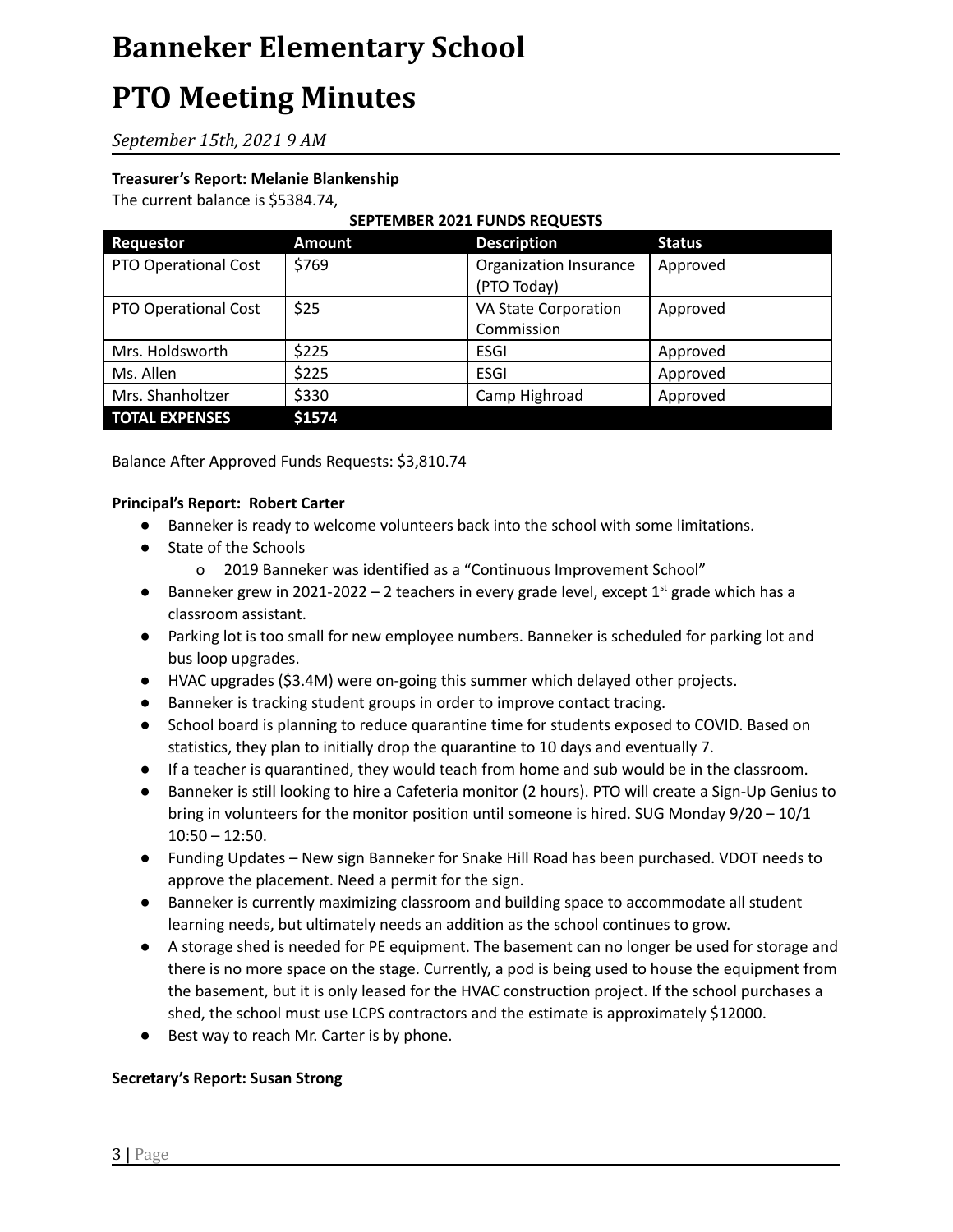# **PTO Meeting Minutes**

*September 15th, 2021 9 AM*

## **Treasurer's Report: Melanie Blankenship**

The current balance is \$5384.74,

# **SEPTEMBER 2021 FUNDS REQUESTS**

| <b>Requestor</b>            | <b>Amount</b> | <b>Description</b>     | <b>Status</b> |
|-----------------------------|---------------|------------------------|---------------|
| <b>PTO Operational Cost</b> | \$769         | Organization Insurance | Approved      |
|                             |               | (PTO Today)            |               |
| <b>PTO Operational Cost</b> | \$25          | VA State Corporation   | Approved      |
|                             |               | Commission             |               |
| Mrs. Holdsworth             | \$225         | <b>ESGI</b>            | Approved      |
| Ms. Allen                   | \$225         | <b>ESGI</b>            | Approved      |
| Mrs. Shanholtzer            | \$330         | Camp Highroad          | Approved      |
| <b>TOTAL EXPENSES</b>       | \$1574        |                        |               |

Balance After Approved Funds Requests: \$3,810.74

#### **Principal's Report: Robert Carter**

- Banneker is ready to welcome volunteers back into the school with some limitations.
- State of the Schools
	- o 2019 Banneker was identified as a "Continuous Improvement School"
- Banneker grew in 2021-2022  $-$  2 teachers in every grade level, except  $1<sup>st</sup>$  grade which has a classroom assistant.
- Parking lot is too small for new employee numbers. Banneker is scheduled for parking lot and bus loop upgrades.
- HVAC upgrades (\$3.4M) were on-going this summer which delayed other projects.
- Banneker is tracking student groups in order to improve contact tracing.
- School board is planning to reduce quarantine time for students exposed to COVID. Based on statistics, they plan to initially drop the quarantine to 10 days and eventually 7.
- If a teacher is quarantined, they would teach from home and sub would be in the classroom.
- Banneker is still looking to hire a Cafeteria monitor (2 hours). PTO will create a Sign-Up Genius to bring in volunteers for the monitor position until someone is hired. SUG Monday 9/20 – 10/1 10:50 – 12:50.
- Funding Updates New sign Banneker for Snake Hill Road has been purchased. VDOT needs to approve the placement. Need a permit for the sign.
- Banneker is currently maximizing classroom and building space to accommodate all student learning needs, but ultimately needs an addition as the school continues to grow.
- A storage shed is needed for PE equipment. The basement can no longer be used for storage and there is no more space on the stage. Currently, a pod is being used to house the equipment from the basement, but it is only leased for the HVAC construction project. If the school purchases a shed, the school must use LCPS contractors and the estimate is approximately \$12000.
- Best way to reach Mr. Carter is by phone.

### **Secretary's Report: Susan Strong**